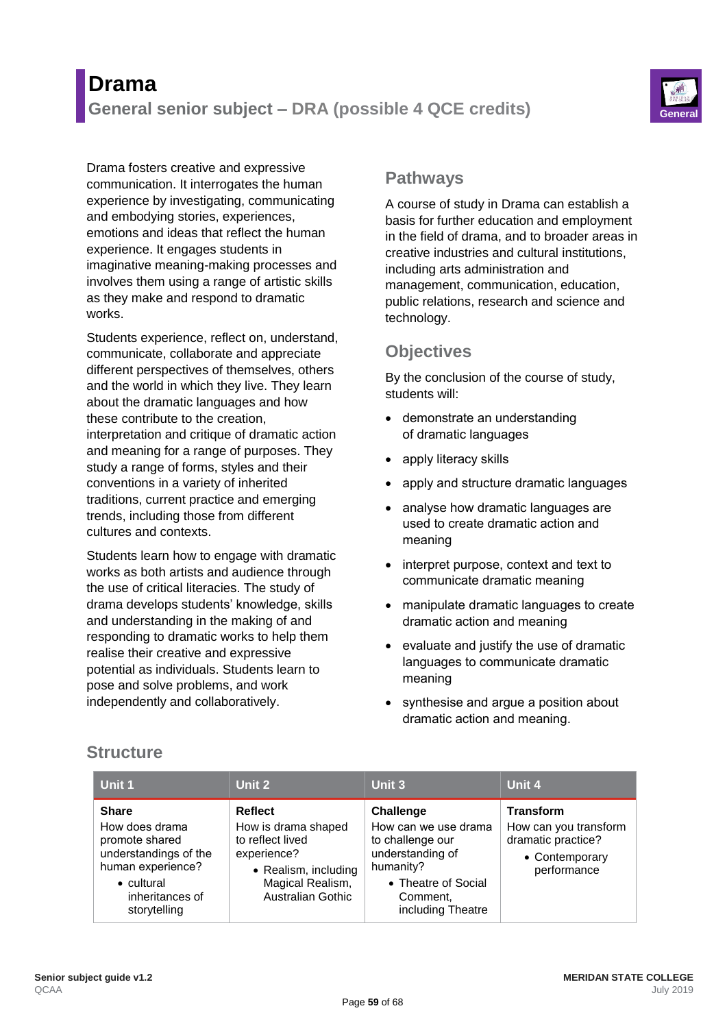

Drama fosters creative and expressive communication. It interrogates the human experience by investigating, communicating and embodying stories, experiences, emotions and ideas that reflect the human experience. It engages students in imaginative meaning-making processes and involves them using a range of artistic skills as they make and respond to dramatic works.

Students experience, reflect on, understand, communicate, collaborate and appreciate different perspectives of themselves, others and the world in which they live. They learn about the dramatic languages and how these contribute to the creation, interpretation and critique of dramatic action and meaning for a range of purposes. They study a range of forms, styles and their conventions in a variety of inherited traditions, current practice and emerging trends, including those from different cultures and contexts.

Students learn how to engage with dramatic works as both artists and audience through the use of critical literacies. The study of drama develops students' knowledge, skills and understanding in the making of and responding to dramatic works to help them realise their creative and expressive potential as individuals. Students learn to pose and solve problems, and work independently and collaboratively.

## **Pathways**

A course of study in Drama can establish a basis for further education and employment in the field of drama, and to broader areas in creative industries and cultural institutions, including arts administration and management, communication, education, public relations, research and science and technology.

# **Objectives**

By the conclusion of the course of study, students will:

- demonstrate an understanding of dramatic languages
- apply literacy skills
- apply and structure dramatic languages
- analyse how dramatic languages are used to create dramatic action and meaning
- interpret purpose, context and text to communicate dramatic meaning
- manipulate dramatic languages to create dramatic action and meaning
- evaluate and justify the use of dramatic languages to communicate dramatic meaning
- synthesise and argue a position about dramatic action and meaning.

# **Structure**

| Unit 1                                                                                                                                                  | Unit 2                                                                                                                                    | Unit 3                                                                                                                                                | Unit 4                                                                                           |
|---------------------------------------------------------------------------------------------------------------------------------------------------------|-------------------------------------------------------------------------------------------------------------------------------------------|-------------------------------------------------------------------------------------------------------------------------------------------------------|--------------------------------------------------------------------------------------------------|
| <b>Share</b><br>How does drama<br>promote shared<br>understandings of the<br>human experience?<br>$\bullet$ cultural<br>inheritances of<br>storytelling | Reflect<br>How is drama shaped<br>to reflect lived<br>experience?<br>• Realism, including<br>Magical Realism,<br><b>Australian Gothic</b> | <b>Challenge</b><br>How can we use drama<br>to challenge our<br>understanding of<br>humanity?<br>• Theatre of Social<br>Comment,<br>including Theatre | <b>Transform</b><br>How can you transform<br>dramatic practice?<br>• Contemporary<br>performance |